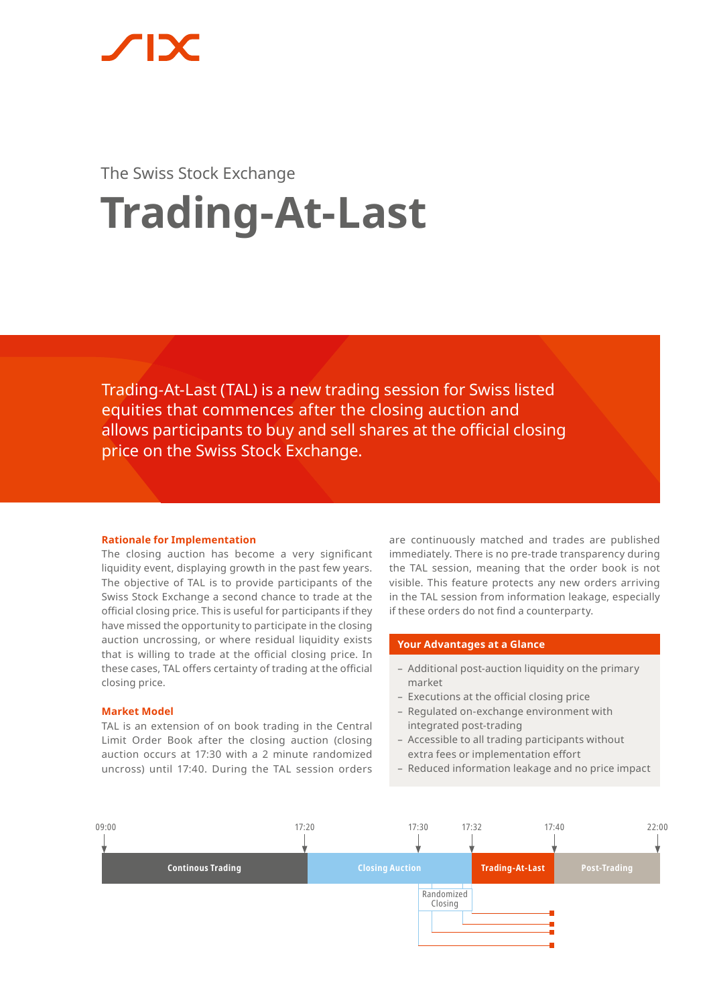# **Trading-At-Last** The Swiss Stock Exchange

Trading-At-Last (TAL) is a new trading session for Swiss listed equities that commences after the closing auction and allows participants to buy and sell shares at the official closing price on the Swiss Stock Exchange.

## **Rationale for Implementation**

The closing auction has become a very significant liquidity event, displaying growth in the past few years. The objective of TAL is to provide participants of the Swiss Stock Exchange a second chance to trade at the official closing price. This is useful for participants if they have missed the opportunity to participate in the closing auction uncrossing, or where residual liquidity exists that is willing to trade at the official closing price. In these cases, TAL offers certainty of trading at the official closing price.

# **Market Model**

TAL is an extension of on book trading in the Central Limit Order Book after the closing auction (closing auction occurs at 17:30 with a 2 minute randomized uncross) until 17:40. During the TAL session orders

are continuously matched and trades are published immediately. There is no pre-trade transparency during the TAL session, meaning that the order book is not visible. This feature protects any new orders arriving in the TAL session from information leakage, especially if these orders do not find a counterparty.

# **Your Advantages at a Glance**

- Additional post-auction liquidity on the primary market
- Executions at the official closing price
- Regulated on-exchange environment with integrated post-trading
- Accessible to all trading participants without extra fees or implementation effort
- Reduced information leakage and no price impact